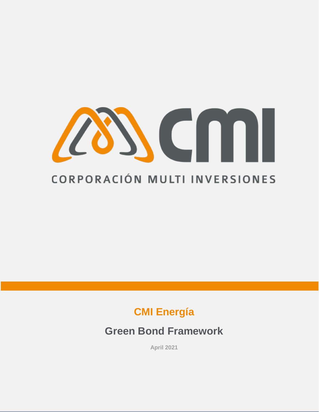

# **CMI Energía**

# **Green Bond Framework**

**April 2021**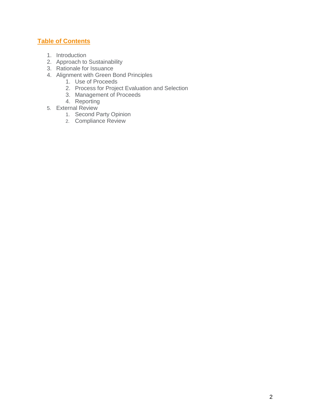## **Table of Contents**

- 1. Introduction
- 2. Approach to Sustainability
- 3. Rationale for Issuance
- 4. Alignment with Green Bond Principles
	- 1. Use of Proceeds
	- 2. Process for Project Evaluation and Selection
	- 3. Management of Proceeds
	- 4. Reporting
- 5. External Review
	- 1. Second Party Opinion
	- 2. Compliance Review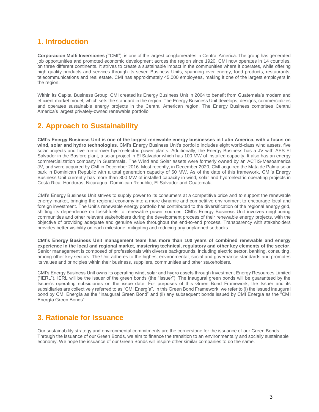## 1. **Introduction**

**Corporacion Multi Inversiones** *(***"**CMI"), is one of the largest conglomerates in Central America. The group has generated job opportunities and promoted economic development across the region since 1920. CMI now operates in 14 countries, on three different continents. It strives to create a sustainable impact in the communities where it operates, while offering high quality products and services through its seven Business Units, spanning over energy, food products, restaurants, telecommunications and real estate. CMI has approximately 45,000 employees, making it one of the largest employers in the region.

Within its Capital Business Group, CMI created its Energy Business Unit in 2004 to benefit from Guatemala's modern and efficient market model, which sets the standard in the region. The Energy Business Unit develops, designs, commercializes and operates sustainable energy projects in the Central American region. The Energy Business comprises Central America's largest privately-owned renewable portfolio.

# **2. Approach to Sustainability**

**CMI's Energy Business Unit is one of the largest renewable energy businesses in Latin America, with a focus on wind, solar and hydro technologies**. CMI's Energy Business Unit's portfolio includes eight world-class wind assets, five solar projects and five run-of-river hydro-electric power plants. Additionally, the Energy Business has a JV with AES El Salvador in the Bosforo plant, a solar project in El Salvador which has 100 MW of installed capacity. It also has an energy commercialization company in Guatemala. The Wind and Solar assets were formerly owned by an ACTIS-Mesoamerica JV, and were acquired by CMI in December 2016. Most recently, in December 2020, CMI acquired the Mata de Palma solar park in Dominican Republic with a total generation capacity of 50 MW. As of the date of this framework, CMI's Energy Business Unit currently has more than 800 MW of installed capacity in wind, solar and hydroelectric operating projects in Costa Rica, Honduras, Nicaragua, Dominican Republic, El Salvador and Guatemala.

CMI's Energy Business Unit strives to supply power to its consumers at a competitive price and to support the renewable energy market, bringing the regional economy into a more dynamic and competitive environment to encourage local and foreign investment. The Unit's renewable energy portfolio has contributed to the diversification of the regional energy grid, shifting its dependence on fossil-fuels to renewable power sources. CMI's Energy Business Unit involves neighboring communities and other relevant stakeholders during the development process of their renewable energy projects, with the objective of providing adequate and genuine value throughout the end-to-end process. Transparency with stakeholders provides better visibility on each milestone, mitigating and reducing any unplanned setbacks.

**CMI's Energy Business Unit management team has more than 100 years of combined renewable and energy experience in the local and regional market, mastering technical, regulatory and other key elements of the sector**. Senior management is composed of professionals with diverse backgrounds, including electric sector, banking, consulting, among other key sectors. The Unit adheres to the highest environmental, social and governance standards and promotes its values and principles within their business, suppliers, communities and other stakeholders.

CMI's Energy Business Unit owns its operating wind, solar and hydro assets through Investment Energy Resources Limited ("IERL"). IERL will be the issuer of the green bonds (the "Issuer"). The inaugural green bonds will be guaranteed by the Issuer's operating subsidiaries on the issue date. For purposes of this Green Bond Framework, the Issuer and its subsidiaries are collectively referred to as "CMI Energía". In this Green Bond Framework, we refer to (i) the issued inaugural bond by CMI Energía as the "Inaugural Green Bond" and (ii) any subsequent bonds issued by CMI Energía as the "CMI Energía Green Bonds".

# **3. Rationale for Issuance**

Our sustainability strategy and environmental commitments are the cornerstone for the issuance of our Green Bonds. Through the issuance of our Green Bonds, we aim to finance the transition to an environmentally and socially sustainable economy. We hope the issuance of our Green Bonds will inspire other similar companies to do the same.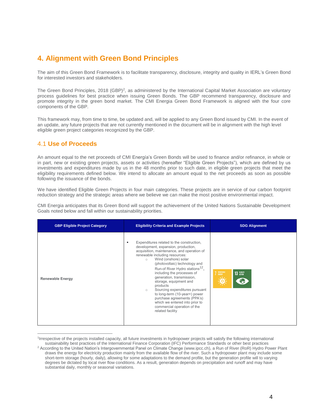# **4. Alignment with Green Bond Principles**

The aim of this Green Bond Framework is to facilitate transparency, disclosure, integrity and quality in IERL's Green Bond for interested investors and stakeholders.

The Green Bond Principles, 2018 (GBP)<sup>2</sup>, as administered by the International Capital Market Association are voluntary process guidelines for best practice when issuing Green Bonds. The GBP recommend transparency, disclosure and promote integrity in the green bond market. The CMI Energia Green Bond Framework is aligned with the four core components of the GBP.

This framework may, from time to time, be updated and, will be applied to any Green Bond issued by CMI. In the event of an update, any future projects that are not currently mentioned in the document will be in alignment with the high level eligible green project categories recognized by the GBP.

### 4.1 **Use of Proceeds**

 $\overline{a}$ 

An amount equal to the net proceeds of CMI Energía's Green Bonds will be used to finance and/or refinance, in whole or in part, new or existing green projects, assets or activities (hereafter "Eligible Green Projects"), which are defined by us investments and expenditures made by us in the 48 months prior to such date, in eligible green projects that meet the eligibility requirements defined below. We intend to allocate an amount equal to the net proceeds as soon as possible following the issuance of the bonds.

We have identified Eligible Green Projects in four main categories. These projects are in service of our carbon footprint reduction strategy and the strategic areas where we believe we can make the most positive environmental impact.

CMI Energia anticipates that its Green Bond will support the achievement of the United Nations Sustainable Development Goals noted below and fall within our sustainability priorities.

| <b>GBP Eligible Project Category</b> | <b>Eligibility Criteria and Example Projects</b>                                                                                                                                                                                                                                                                                                                                                                                                                                                                                                                                            | <b>SDG Alignment</b>             |
|--------------------------------------|---------------------------------------------------------------------------------------------------------------------------------------------------------------------------------------------------------------------------------------------------------------------------------------------------------------------------------------------------------------------------------------------------------------------------------------------------------------------------------------------------------------------------------------------------------------------------------------------|----------------------------------|
| <b>Renewable Energy</b>              | Expenditures related to the construction,<br>٠<br>development, expansion, production,<br>acquisition, maintenance, and operation of<br>renewable including resources:<br>Wind (onshore) solar<br>$\circ$<br>(photovoltaic) technology and<br>Run-of River Hydro stations <sup>12</sup> ,<br>including the processes of<br>generation, transmission,<br>storage, equipment and<br>products<br>Sourcing expenditures pursuant<br>$\circ$<br>to long-term (10-year+) power<br>purchase agreements (PPA's)<br>which we entered into prior to<br>commercial operation of the<br>related facility | 7 RENEWABLE<br>13 GLIMATE<br>علا |

<sup>1</sup> Irrespective of the projects installed capacity, all future investments in hydropower projects will satisfy the following international sustainability best practices of the International Finance Corporation (IFC) Performance Standards or other best practices

<sup>&</sup>lt;sup>2</sup> According to the United Nation's Intergovernmental Panel on Climate Change [\(www.ipcc.ch\)](https://urldefense.proofpoint.com/v2/url?u=http-3A__www.ipcc.ch&d=DwMFAw&c=j-EkbjBYwkAB4f8ZbVn1Fw&r=pSGl8VROKXdxlakHoK3-sw&m=KzSORmDVLBQFI0G6Gobua2nkXABfFolqq-KqdsReQdo&s=dvZAzBY8VO16p7fD6p3Tgz18U883OsRgmYt9Mku-kgQ&e=), a Run of River (RoR) Hydro Power Plant draws the energy for electricity production mainly from the available flow of the river. Such a hydropower plant may include some short-term storage (hourly, daily), allowing for some adaptations to the demand profile, but the generation profile will to varying degrees be dictated by local river flow conditions. As a result, generation depends on precipitation and runoff and may have substantial daily, monthly or seasonal variations.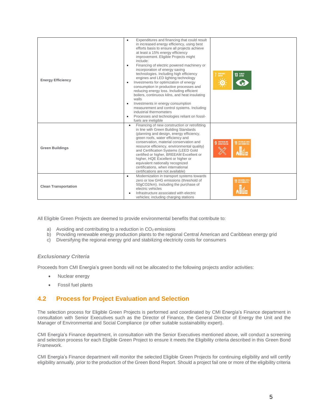| <b>Energy Efficiency</b>    | Expenditures and financing that could result<br>in increased energy efficiency, using best<br>efforts basis to ensure all projects achieve<br>at least a 15% energy efficiency<br>improvement. Eligible Projects might<br>include:<br>Financing of electric powered machinery or<br>$\bullet$<br>incorporation of energy saving<br>technologies. Including high efficiency<br>engines and LED lighting technology<br>Investments for optimization of energy<br>$\bullet$<br>consumption in productive processes and<br>reducing energy loss. Including efficient<br>boilers, continuous kilns, and heat insulating<br>walls<br>Investments in energy consumption<br>٠<br>measurement and control systems. Including<br>industrial thermometers<br>Processes and technologies reliant on fossil-<br>٠ | 7 RENEWABLE<br>13 GLIMATE<br>ĭΟ                                        |
|-----------------------------|------------------------------------------------------------------------------------------------------------------------------------------------------------------------------------------------------------------------------------------------------------------------------------------------------------------------------------------------------------------------------------------------------------------------------------------------------------------------------------------------------------------------------------------------------------------------------------------------------------------------------------------------------------------------------------------------------------------------------------------------------------------------------------------------------|------------------------------------------------------------------------|
| <b>Green Buildings</b>      | fuels are ineligible<br>Financing of new construction or retrofitting<br>$\bullet$<br>in line with Green Building Standards<br>(planning and design, energy efficiency,<br>green roofs, water efficiency and<br>conservation, material conservation and<br>resource efficiency, environmental quality)<br>and Certification Systems (LEED Gold<br>certified or higher, BREEAM Excellent or<br>higher, HQE Excellent or higher or<br>equivalent nationally recognized<br>certifications, when international<br>certifications are not available)                                                                                                                                                                                                                                                      | <b>9</b> INNOVATION AND INFRASTRUCTURE<br><b>11 SUSTAINABLE CITIES</b> |
| <b>Clean Transportation</b> | Modernization in transport systems towards<br>$\bullet$<br>zero or low GHG emissions (threshold of<br>50gCO2/km). Including the purchase of<br>electric vehicles<br>Infrastructure associated with electric<br>vehicles; including charging stations                                                                                                                                                                                                                                                                                                                                                                                                                                                                                                                                                 | SUSTAINABLE CITIE                                                      |

All Eligible Green Projects are deemed to provide environmental benefits that contribute to:

- a) Avoiding and contributing to a reduction in  $CO<sub>2</sub>$  emissions
- b) Providing renewable energy production plants to the regional Central American and Caribbean energy grid
- c) Diversifying the regional energy grid and stabilizing electricity costs for consumers

#### *Exclusionary Criteria*

Proceeds from CMI Energía's green bonds will not be allocated to the following projects and/or activities:

- Nuclear energy
- Fossil fuel plants

### **4.2 Process for Project Evaluation and Selection**

The selection process for Eligible Green Projects is performed and coordinated by CMI Energía's Finance department in consultation with Senior Executives such as the Director of Finance, the General Director of Energy the Unit and the Manager of Environmental and Social Compliance (or other suitable sustainability expert).

CMI Energía's Finance department, in consultation with the Senior Executives mentioned above, will conduct a screening and selection process for each Eligible Green Project to ensure it meets the Eligibility criteria described in this Green Bond Framework.

CMI Energía's Finance department will monitor the selected Eligible Green Projects for continuing eligibility and will certify eligibility annually, prior to the production of the Green Bond Report. Should a project fail one or more of the eligibility criteria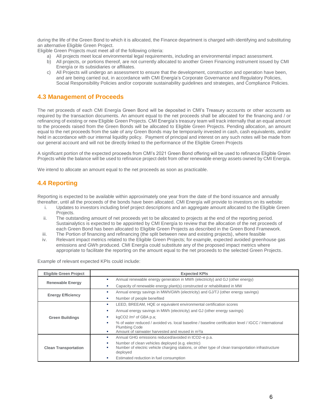during the life of the Green Bond to which it is allocated, the Finance department is charged with identifying and substituting an alternative Eligible Green Project.

Eligible Green Projects must meet all of the following criteria:

- a) All projects meet local environmental legal requirements, including an environmental impact assessment.
- b) All projects, or portions thereof, are not currently allocated to another Green Financing instrument issued by CMI Energía or its subsidiaries or affiliates.
- c) All Projects will undergo an assessment to ensure that the development, construction and operation have been, and are being carried out, in accordance with CMI Energía's Corporate Governance and Regulatory Policies, Social Responsibility Policies and/or corporate sustainability guidelines and strategies, and Compliance Policies.

### **4.3 Management of Proceeds**

The net proceeds of each CMI Energía Green Bond will be deposited in CMI's Treasury accounts or other accounts as required by the transaction documents. An amount equal to the net proceeds shall be allocated for the financing and / or refinancing of existing or new Eligible Green Projects. CMI Energía's treasury team will track internally that an equal amount to the proceeds raised from the Green Bonds will be allocated to Eligible Green Projects. Pending allocation, an amount equal to the net proceeds from the sale of any Green Bonds may be temporarily invested in cash, cash equivalents, and/or held in accordance with our internal liquidity policy. Payment of principal and interest on any such notes will be made from our general account and will not be directly linked to the performance of the Eligible Green Projects

A significant portion of the expected proceeds from CMI's 2021 Green Bond offering will be used to refinance Eligible Green Projects while the balance will be used to refinance project debt from other renewable energy assets owned by CMI Energía.

We intend to allocate an amount equal to the net proceeds as soon as practicable.

### **4.4 Reporting**

Reporting is expected to be available within approximately one year from the date of the bond issuance and annually thereafter, until all the proceeds of the bonds have been allocated. CMI Energía will provide to investors on its website:

- i. Updates to investors including brief project descriptions and an aggregate amount allocated to the Eligible Green Projects.
- ii. The outstanding amount of net proceeds yet to be allocated to projects at the end of the reporting period. Sustainalytics is expected to be appointed by CMI Energía to review that the allocation of the net proceeds of each Green Bond has been allocated to Eligible Green Projects as described in the Green Bond Framework.
- iii. The Portion of financing and refinancing (the split between new and existing projects), where feasible
- iv. Relevant impact metrics related to the Eligible Green Projects; for example, expected avoided greenhouse gas emissions and GWh produced. CMI Energía could substitute any of the proposed impact metrics where appropriate to facilitate the reporting on the amount equal to the net proceeds to the selected Green Projects.

Example of relevant expected KPIs could include:

| <b>Eligible Green Project</b> | <b>Expected KPIs</b>                                                                                                          |  |
|-------------------------------|-------------------------------------------------------------------------------------------------------------------------------|--|
| <b>Renewable Energy</b>       | Annual renewable energy generation in MWh (electricity) and GJ (other energy)                                                 |  |
|                               | Capacity of renewable energy plant(s) constructed or rehabilitated in MW                                                      |  |
| <b>Energy Efficiency</b>      | Annual energy savings in MWh/GWh (electricity) and GJ/TJ (other energy savings)                                               |  |
|                               | Number of people benefited                                                                                                    |  |
| <b>Green Buildings</b>        | LEED, BREEAM, HQE or equivalent environmental certification scores                                                            |  |
|                               | Annual energy savings in MWh (electricity) and GJ (other energy savings)                                                      |  |
|                               | kgCO2 / $m2$ of GBA p.a;                                                                                                      |  |
|                               | % of water reduced / avoided vs. local baseline / baseline certification level / IGCC / International<br><b>Plumbing Code</b> |  |
|                               | Amount of rainwater harvested and reused in m <sup>3</sup> /a                                                                 |  |
| <b>Clean Transportation</b>   | Annual GHG emissions reduced/avoided in tCO2-e p.a.                                                                           |  |
|                               | Number of clean vehicles deployed (e.g. electric)                                                                             |  |
|                               | Number of electric vehicle charging stations, or other type of clean transportation infrastructure<br>ш<br>deployed           |  |
|                               | Estimated reduction in fuel consumption                                                                                       |  |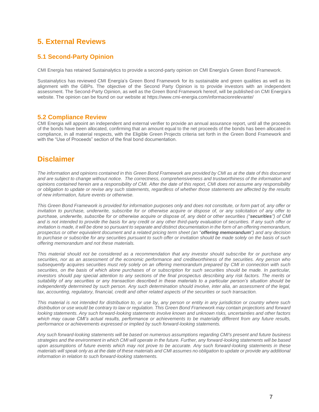# **5. External Reviews**

### **5.1 Second-Party Opinion**

CMI Energía has retained Sustainalytics to provide a second-party opinion on CMI Energía's Green Bond Framework.

Sustainalytics has reviewed CMI Energía's Green Bond Framework for its sustainable and green qualities as well as its alignment with the GBPs. The objective of the Second Party Opinion is to provide investors with an independent assessment. The Second-Party Opinion, as well as the Green Bond Framework hereof, will be published on CMI Energía's website. The opinion can be found on our website at https://www.cmi-energia.com/informacionrelevante/

#### **5.2 Compliance Review**

CMI Energia will appoint an independent and external verifier to provide an annual assurance report, until all the proceeds of the bonds have been allocated, confirming that an amount equal to the net proceeds of the bonds has been allocated in compliance, in all material respects, with the Eligible Green Projects criteria set forth in the Green Bond Framework and with the "Use of Proceeds" section of the final bond documentation.

### **Disclaimer**

*The information and opinions contained in this Green Bond Framework are provided by CMI as at the date of this document and are subject to change without notice. The correctness, comprehensiveness and trustworthiness of the information and opinions contained herein are a responsibility of CMI. After the date of this report, CMI does not assume any responsibility or obligation to update or revise any such statements, regardless of whether those statements are affected by the results of new information, future events or otherwise.* 

*This Green Bond Framework is provided for information purposes only and does not constitute, or form part of, any offer or invitation to purchase, underwrite, subscribe for or otherwise acquire or dispose of, or any solicitation of any offer to purchase, underwrite, subscribe for or otherwise acquire or dispose of, any debt or other securities ("securities") of CMI and is not intended to provide the basis for any credit or any other third-party evaluation of securities. If any such offer or invitation is made, it will be done so pursuant to separate and distinct documentation in the form of an offering memorandum, prospectus or other equivalent document and a related pricing term sheet (an "offering memorandum") and any decision to purchase or subscribe for any securities pursuant to such offer or invitation should be made solely on the basis of such offering memorandum and not these materials.*

*This material should not be considered as a recommendation that any investor should subscribe for or purchase any securities, nor as an assessment of the economic performance and creditworthiness of the securities. Any person who subsequently acquires securities must rely solely on an offering memorandum prepared by CMI in connection with such securities, on the basis of which alone purchases of or subscription for such securities should be made. In particular, investors should pay special attention to any sections of the final prospectus describing any risk factors. The merits or suitability of any securities or any transaction described in these materials to a particular person's situation should be independently determined by such person. Any such determination should involve, inter alia, an assessment of the legal, tax, accounting, regulatory, financial, credit and other related aspects of the securities or such transaction.*

*This material is not intended for distribution to, or use by, any person or entity in any jurisdiction or country where such distribution or use would be contrary to law or regulation. This Green Bond Framework may contain projections and forward looking statements. Any such forward-looking statements involve known and unknown risks, uncertainties and other factors which may cause CMI's actual results, performance or achievements to be materially different from any future results, performance or achievements expressed or implied by such forward-looking statements.*

*Any such forward-looking statements will be based on numerous assumptions regarding CMI's present and future business strategies and the environment in which CMI will operate in the future. Further, any forward-looking statements will be based upon assumptions of future events which may not prove to be accurate. Any such forward-looking statements in these materials will speak only as at the date of these materials and CMI assumes no obligation to update or provide any additional information in relation to such forward-looking statements.*